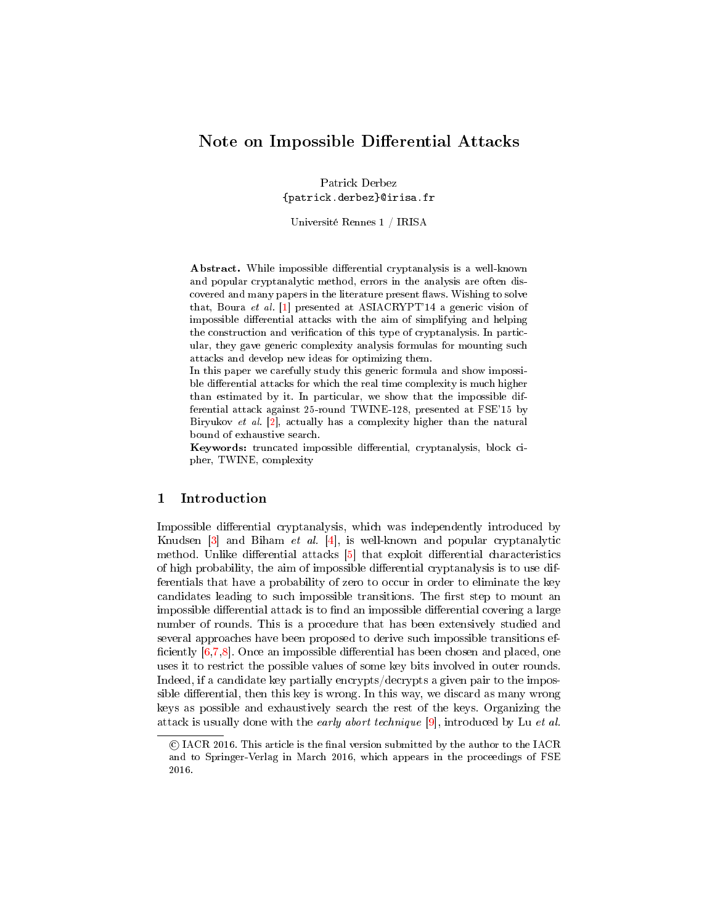# Note on Impossible Differential Attacks

Patrick Derbez {patrick.derbez}@irisa.fr

Université Rennes 1 / IRISA

Abstract. While impossible differential cryptanalysis is a well-known and popular cryptanalytic method, errors in the analysis are often discovered and many papers in the literature present flaws. Wishing to solve that, Boura et al. [\[1\]](#page-10-0) presented at ASIACRYPT'14 a generic vision of impossible differential attacks with the aim of simplifying and helping the construction and verification of this type of cryptanalysis. In particular, they gave generic complexity analysis formulas for mounting such attacks and develop new ideas for optimizing them.

In this paper we carefully study this generic formula and show impossible differential attacks for which the real time complexity is much higher than estimated by it. In particular, we show that the impossible differential attack against 25-round TWINE-128, presented at FSE'15 by Biryukov et al. [\[2\]](#page-10-1), actually has a complexity higher than the natural bound of exhaustive search.

Keywords: truncated impossible differential, cryptanalysis, block cipher, TWINE, complexity

### 1 Introduction

Impossible differential cryptanalysis, which was independently introduced by Knudsen  $\begin{bmatrix} 3 \end{bmatrix}$  and Biham *et al.*  $\begin{bmatrix} 4 \end{bmatrix}$ , is well-known and popular cryptanalytic method. Unlike differential attacks  $[5]$  that exploit differential characteristics of high probability, the aim of impossible differential cryptanalysis is to use differentials that have a probability of zero to occur in order to eliminate the key candidates leading to such impossible transitions. The first step to mount an impossible differential attack is to find an impossible differential covering a large number of rounds. This is a procedure that has been extensively studied and several approaches have been proposed to derive such impossible transitions ef ficiently  $[6,7,8]$  $[6,7,8]$  $[6,7,8]$ . Once an impossible differential has been chosen and placed, one uses it to restrict the possible values of some key bits involved in outer rounds. Indeed, if a candidate key partially encrypts/decrypts a given pair to the impossible differential, then this key is wrong. In this way, we discard as many wrong keys as possible and exhaustively search the rest of the keys. Organizing the attack is usually done with the early abort technique [\[9\]](#page-10-8), introduced by Lu et al.

c IACR 2016. This article is the nal version submitted by the author to the IACR and to Springer-Verlag in March 2016, which appears in the proceedings of FSE 2016.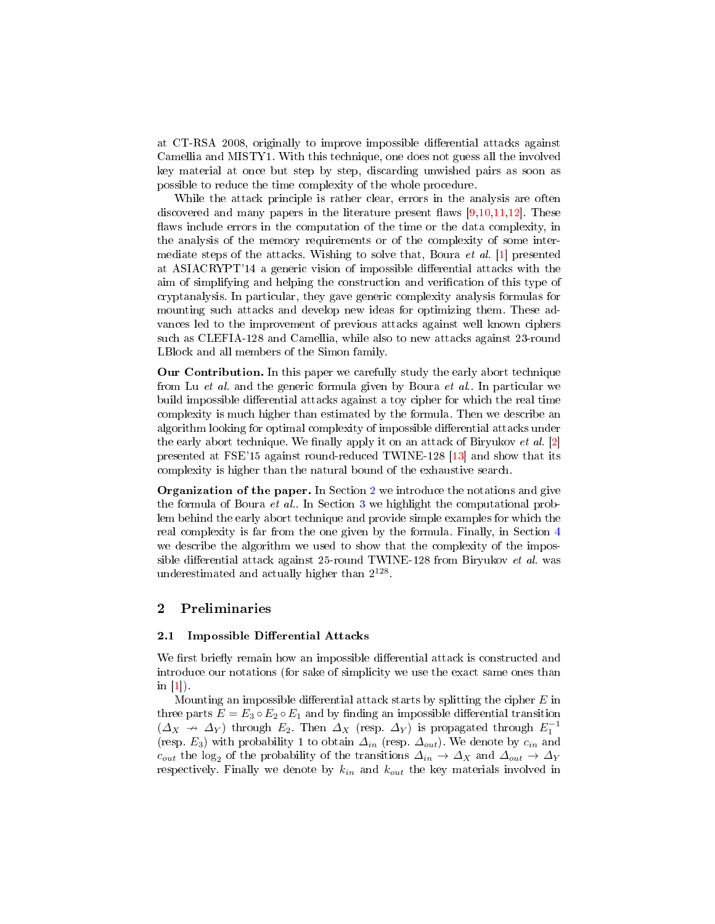at CT-RSA 2008, originally to improve impossible differential attacks against Camellia and MISTY1. With this technique, one does not guess all the involved key material at once but step by step, discarding unwished pairs as soon as possible to reduce the time complexity of the whole procedure.

While the attack principle is rather clear, errors in the analysis are often discovered and many papers in the literature present flaws  $[9,10,11,12]$  $[9,10,11,12]$  $[9,10,11,12]$  $[9,10,11,12]$ . These flaws include errors in the computation of the time or the data complexity, in the analysis of the memory requirements or of the complexity of some intermediate steps of the attacks. Wishing to solve that, Boura et al. [\[1\]](#page-10-0) presented at ASIACRYPT'14 a generic vision of impossible differential attacks with the aim of simplifying and helping the construction and verification of this type of cryptanalysis. In particular, they gave generic complexity analysis formulas for mounting such attacks and develop new ideas for optimizing them. These advances led to the improvement of previous attacks against well known ciphers such as CLEFIA-128 and Camellia, while also to new attacks against 23-round LBlock and all members of the Simon family.

Our Contribution. In this paper we carefully study the early abort technique from Lu et al. and the generic formula given by Boura et al.. In particular we build impossible differential attacks against a toy cipher for which the real time complexity is much higher than estimated by the formula. Then we describe an algorithm looking for optimal complexity of impossible differential attacks under the early abort technique. We finally apply it on an attack of Biryukov et al.  $[2]$ presented at FSE'15 against round-reduced TWINE-128 [\[13\]](#page-11-0) and show that its complexity is higher than the natural bound of the exhaustive search.

Organization of the paper. In Section [2](#page-1-0) we introduce the notations and give the formula of Boura et al.. In Section [3](#page-2-0) we highlight the computational problem behind the early abort technique and provide simple examples for which the real complexity is far from the one given by the formula. Finally, in Section [4](#page-6-0) we describe the algorithm we used to show that the complexity of the impossible differential attack against  $25$ -round TWINE-128 from Biryukov *et al.* was underestimated and actually higher than  $2^{128}$ .

# <span id="page-1-0"></span>2 Preliminaries

### <span id="page-1-1"></span>2.1 Impossible Differential Attacks

We first briefly remain how an impossible differential attack is constructed and introduce our notations (for sake of simplicity we use the exact same ones than in  $[1]$ ).

Mounting an impossible differential attack starts by splitting the cipher  $E$  in three parts  $E = E_3 \circ E_2 \circ E_1$  and by finding an impossible differential transition  $(\Delta_X \rightarrow \Delta_Y)$  through  $E_2$ . Then  $\Delta_X$  (resp.  $\Delta_Y$ ) is propagated through  $E_1^{-1}$ (resp.  $E_3$ ) with probability 1 to obtain  $\Delta_{in}$  (resp.  $\Delta_{out}$ ). We denote by  $c_{in}$  and  $c_{out}$  the log<sub>2</sub> of the probability of the transitions  $\Delta_{in} \to \Delta_X$  and  $\Delta_{out} \to \Delta_Y$ respectively. Finally we denote by  $k_{in}$  and  $k_{out}$  the key materials involved in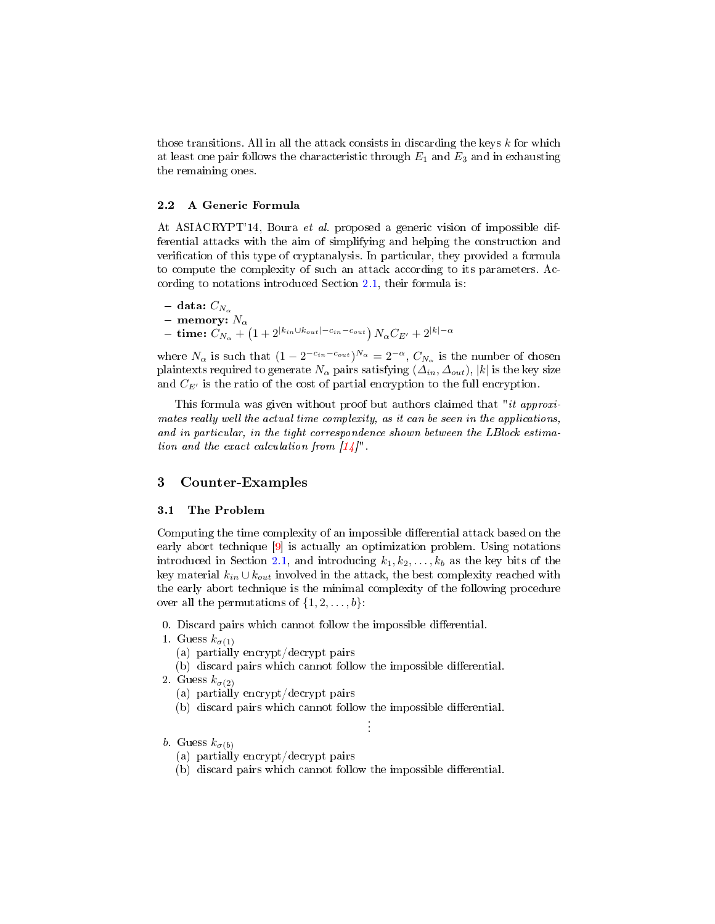those transitions. All in all the attack consists in discarding the keys  $k$  for which at least one pair follows the characteristic through  $E_1$  and  $E_3$  and in exhausting the remaining ones.

### 2.2 A Generic Formula

At ASIACRYPT'14, Boura et al. proposed a generic vision of impossible differential attacks with the aim of simplifying and helping the construction and verification of this type of cryptanalysis. In particular, they provided a formula to compute the complexity of such an attack according to its parameters. According to notations introduced Section [2.1,](#page-1-1) their formula is:

- data:  $C_{N_{\alpha}}$ – memory:  $N_{\alpha}$  $-~\, {\bf time:}~C_{N_\alpha} + \left( 1 + 2^{|k_{in} \cup k_{out}|-c_{in}-c_{out}} \right) N_\alpha C_{E'} + 2^{|k|-\alpha|}$ 

where  $N_{\alpha}$  is such that  $(1 - 2^{-c_{in} - c_{out}})^{N_{\alpha}} = 2^{-\alpha}, C_{N_{\alpha}}$  is the number of chosen plaintexts required to generate  $N_{\alpha}$  pairs satisfying  $(\Delta_{in}, \Delta_{out})$ , |k| is the key size and  $C_{E'}$  is the ratio of the cost of partial encryption to the full encryption.

This formula was given without proof but authors claimed that "*it approxi*mates really well the actual time complexity, as it can be seen in the applications, and in particular, in the tight correspondence shown between the LBlock estimation and the exact calculation from  $\lceil 14 \rceil$ ".

## <span id="page-2-0"></span>3 Counter-Examples

### 3.1 The Problem

Computing the time complexity of an impossible differential attack based on the early abort technique [\[9\]](#page-10-8) is actually an optimization problem. Using notations introduced in Section [2.1,](#page-1-1) and introducing  $k_1, k_2, \ldots, k_b$  as the key bits of the key material  $k_{in} \cup k_{out}$  involved in the attack, the best complexity reached with the early abort technique is the minimal complexity of the following procedure over all the permutations of  $\{1, 2, \ldots, b\}$ :

- 0. Discard pairs which cannot follow the impossible differential.
- 1. Guess  $k_{\sigma(1)}$ 
	- (a) partially encrypt/decrypt pairs
	- (b) discard pairs which cannot follow the impossible differential.
- 2. Guess  $k_{\sigma(2)}$ 
	- (a) partially encrypt/decrypt pairs
	- (b) discard pairs which cannot follow the impossible differential.

. . .

- b. Guess  $k_{\sigma(b)}$ 
	- (a) partially encrypt/decrypt pairs
	- (b) discard pairs which cannot follow the impossible differential.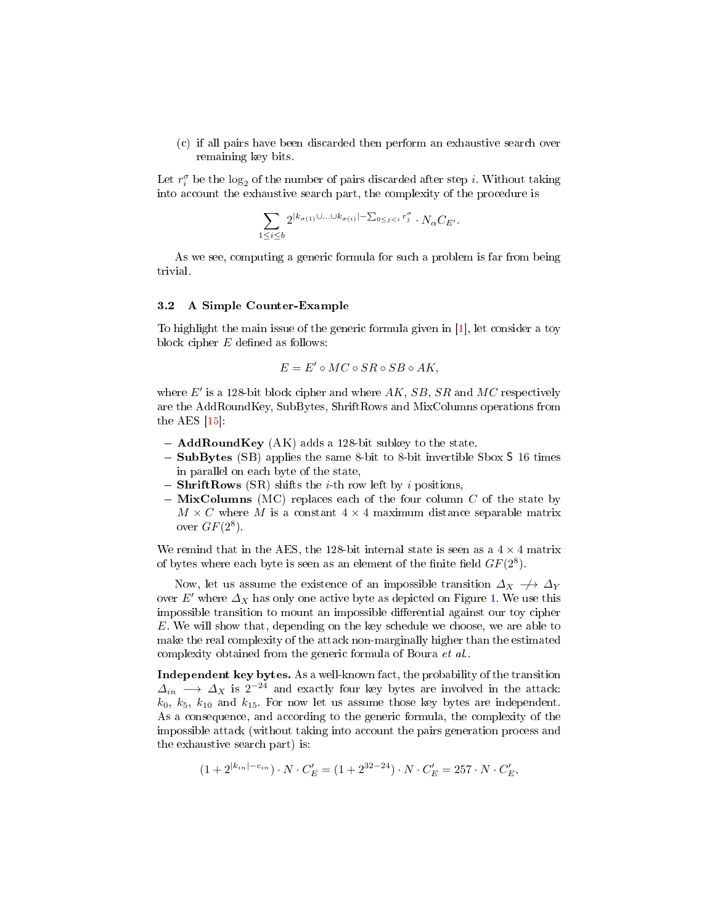(c) if all pairs have been discarded then perform an exhaustive search over remaining key bits.

Let  $r_i^{\sigma}$  be the log<sub>2</sub> of the number of pairs discarded after step *i*. Without taking into account the exhaustive search part, the complexity of the procedure is

$$
\sum_{1 \leq i \leq b} 2^{|k_{\sigma(1)} \cup \ldots \cup k_{\sigma(i)}| - \sum_{0 \leq j < i} r_j^{\sigma}} \cdot N_{\alpha} C_{E'}.
$$

As we see, computing a generic formula for such a problem is far from being trivial.

### 3.2 A Simple Counter-Example

To highlight the main issue of the generic formula given in [\[1\]](#page-10-0), let consider a toy block cipher  $E$  defined as follows:

$$
E = E' \circ MC \circ SR \circ SB \circ AK,
$$

where  $E'$  is a 128-bit block cipher and where  $AK, SB, SR$  and  $MC$  respectively are the AddRoundKey, SubBytes, ShriftRows and MixColumns operations from the AES  $[15]$ :

- $-$  AddRoundKey (AK) adds a 128-bit subkey to the state.
- $-$  SubBytes (SB) applies the same 8-bit to 8-bit invertible Sbox S 16 times in parallel on each byte of the state,
- ShriftRows (SR) shifts the *i*-th row left by *i* positions,
- $-$  MixColumns (MC) replaces each of the four column C of the state by  $M \times C$  where M is a constant  $4 \times 4$  maximum distance separable matrix over  $GF(2^8)$ .

We remind that in the AES, the 128-bit internal state is seen as a  $4 \times 4$  matrix of bytes where each byte is seen as an element of the finite field  $GF(2^8)$ .

Now, let us assume the existence of an impossible transition  $\Delta_X \to \Delta_Y$ over E' where  $\Delta_X$  has only one active byte as depicted on Figure [1.](#page-4-0) We use this impossible transition to mount an impossible differential against our toy cipher E. We will show that, depending on the key schedule we choose, we are able to make the real complexity of the attack non-marginally higher than the estimated complexity obtained from the generic formula of Boura et al..

Independent key bytes. As a well-known fact, the probability of the transition  $\Delta_{in}$  →  $\Delta_X$  is 2<sup>-24</sup> and exactly four key bytes are involved in the attack:  $k_0$ ,  $k_5$ ,  $k_{10}$  and  $k_{15}$ . For now let us assume those key bytes are independent. As a consequence, and according to the generic formula, the complexity of the impossible attack (without taking into account the pairs generation process and the exhaustive search part) is:

$$
(1+2^{|k_{in}|-c_{in}}) \cdot N \cdot C'_E = (1+2^{32-24}) \cdot N \cdot C'_E = 257 \cdot N \cdot C'_E,
$$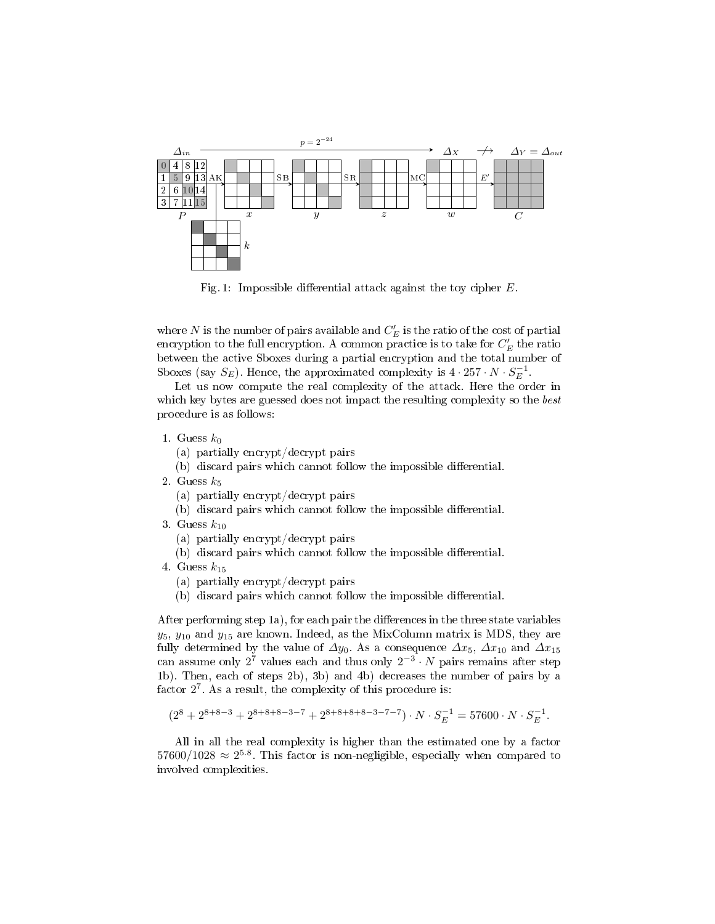<span id="page-4-0"></span>

Fig. 1: Impossible differential attack against the toy cipher  $E$ .

where  $N$  is the number of pairs available and  $C_E^\prime$  is the ratio of the cost of partial encryption to the full encryption. A common practice is to take for  $C_E^{\prime}$  the ratio between the active Sboxes during a partial encryption and the total number of Sboxes (say  $S_E$ ). Hence, the approximated complexity is  $4 \cdot 257 \cdot N \cdot S_E^{-1}$ .

Let us now compute the real complexity of the attack. Here the order in which key bytes are guessed does not impact the resulting complexity so the best procedure is as follows:

- 1. Guess  $k_0$ 
	- (a) partially encrypt/decrypt pairs
	- (b) discard pairs which cannot follow the impossible differential.
- 2. Guess  $k_5$ 
	- (a) partially encrypt/decrypt pairs
	- $(b)$  discard pairs which cannot follow the impossible differential.
- 3. Guess  $k_{10}$ 
	- (a) partially encrypt/decrypt pairs
	- $(b)$  discard pairs which cannot follow the impossible differential.
- 4. Guess  $k_{15}$ 
	- (a) partially encrypt/decrypt pairs
	- $(b)$  discard pairs which cannot follow the impossible differential.

After performing step 1a), for each pair the differences in the three state variables  $y_5$ ,  $y_{10}$  and  $y_{15}$  are known. Indeed, as the MixColumn matrix is MDS, they are fully determined by the value of  $\varDelta y_0$ . As a consequence  $\varDelta x_5,~\varDelta x_{10}$  and  $\varDelta x_{15}$ can assume only  $2^7$  values each and thus only  $2^{-3} \cdot N$  pairs remains after step 1b). Then, each of steps 2b), 3b) and 4b) decreases the number of pairs by a factor  $2^7$ . As a result, the complexity of this procedure is:

$$
(2^8 + 2^{8+8-3} + 2^{8+8+8-3-7} + 2^{8+8+8+8-3-7-7}) \cdot N \cdot S_E^{-1} = 57600 \cdot N \cdot S_E^{-1}.
$$

All in all the real complexity is higher than the estimated one by a factor  $57600/1028 \approx 2^{5.8}$ . This factor is non-negligible, especially when compared to involved complexities.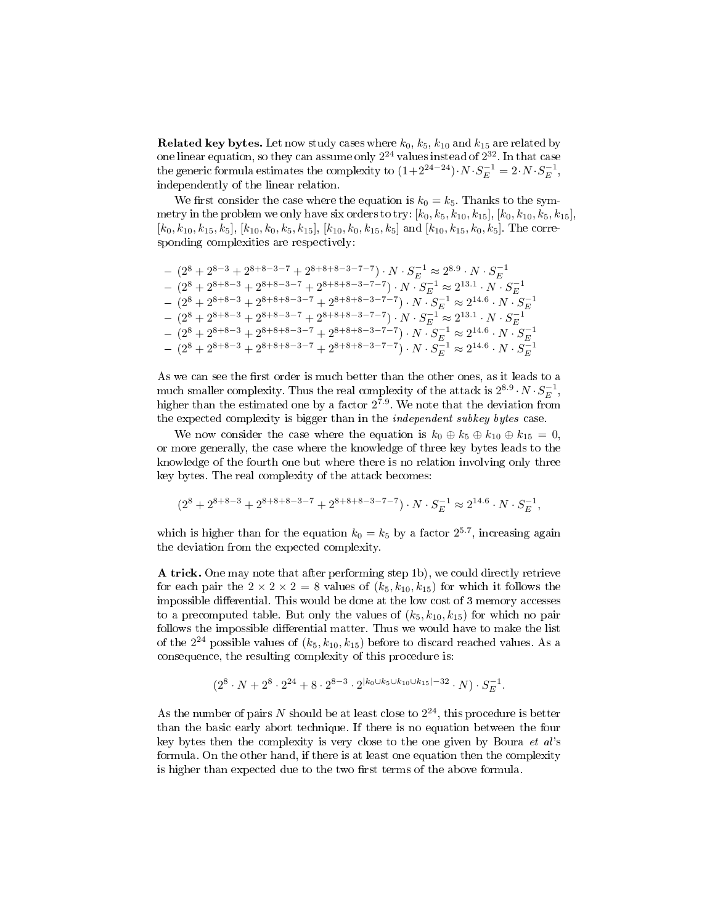**Related key bytes.** Let now study cases where  $k_0$ ,  $k_5$ ,  $k_{10}$  and  $k_{15}$  are related by one linear equation, so they can assume only  $2^{24}$  values instead of  $2^{32}.$  In that case the generic formula estimates the complexity to  $(1+2^{24-24})\cdot N\cdot S_E^{-1} = 2\cdot N\cdot S_E^{-1},$ independently of the linear relation.

We first consider the case where the equation is  $k_0 = k_5$ . Thanks to the symmetry in the problem we only have six orders to try:  $[k_0, k_5, k_{10}, k_{15}], [k_0, k_{10}, k_5, k_{15}],$  $[k_0, k_{10}, k_{15}, k_5], [k_{10}, k_0, k_5, k_{15}], [k_{10}, k_0, k_{15}, k_5]$  and  $[k_{10}, k_{15}, k_0, k_5]$ . The corresponding complexities are respectively:

$$
- (2^8 + 2^{8+8-3} + 2^{8+8-3-7} + 2^{8+8+8-3-7-7}) \cdot N \cdot S_E^{-1} \approx 2^{8.9} \cdot N \cdot S_E^{-1}
$$
  
\n
$$
- (2^8 + 2^{8+8-3} + 2^{8+8-3-7} + 2^{8+8+8-3-7-7}) \cdot N \cdot S_E^{-1} \approx 2^{13.1} \cdot N \cdot S_E^{-1}
$$
  
\n
$$
- (2^8 + 2^{8+8-3} + 2^{8+8+8-3-7} + 2^{8+8+8-3-7-7}) \cdot N \cdot S_E^{-1} \approx 2^{14.6} \cdot N \cdot S_E^{-1}
$$
  
\n
$$
- (2^8 + 2^{8+8-3} + 2^{8+8-3-7} + 2^{8+8+8-3-7-7}) \cdot N \cdot S_E^{-1} \approx 2^{13.1} \cdot N \cdot S_E^{-1}
$$
  
\n
$$
- (2^8 + 2^{8+8-3} + 2^{8+8+8-3-7} + 2^{8+8+8-3-7-7}) \cdot N \cdot S_E^{-1} \approx 2^{14.6} \cdot N \cdot S_E^{-1}
$$
  
\n
$$
- (2^8 + 2^{8+8-3} + 2^{8+8+8-3-7} + 2^{8+8+8-3-7-7}) \cdot N \cdot S_E^{-1} \approx 2^{14.6} \cdot N \cdot S_E^{-1}
$$

As we can see the first order is much better than the other ones, as it leads to a much smaller complexity. Thus the real complexity of the attack is  $2^{8.9} \cdot N \cdot S_E^{-1}$ , higher than the estimated one by a factor  $2^{7.9}$ . We note that the deviation from the expected complexity is bigger than in the *independent subkey bytes* case.

We now consider the case where the equation is  $k_0 \oplus k_5 \oplus k_{10} \oplus k_{15} = 0$ , or more generally, the case where the knowledge of three key bytes leads to the knowledge of the fourth one but where there is no relation involving only three key bytes. The real complexity of the attack becomes:

$$
(2^8 + 2^{8+8-3} + 2^{8+8+8-3-7} + 2^{8+8+8-3-7-7})\cdot N \cdot S_E^{-1} \approx 2^{14.6} \cdot N \cdot S_E^{-1},
$$

which is higher than for the equation  $k_0 = k_5$  by a factor  $2^{5.7}$ , increasing again the deviation from the expected complexity.

A trick. One may note that after performing step 1b), we could directly retrieve for each pair the  $2 \times 2 \times 2 = 8$  values of  $(k_5, k_{10}, k_{15})$  for which it follows the impossible differential. This would be done at the low cost of  $3$  memory accesses to a precomputed table. But only the values of  $(k_5, k_{10}, k_{15})$  for which no pair follows the impossible differential matter. Thus we would have to make the list of the  $2^{24}$  possible values of  $(k_5, k_{10}, k_{15})$  before to discard reached values. As a consequence, the resulting complexity of this procedure is:

$$
(2^8 \cdot N + 2^8 \cdot 2^{24} + 8 \cdot 2^{8-3} \cdot 2^{|k_0 \cup k_5 \cup k_{10} \cup k_{15}| - 32} \cdot N) \cdot S_E^{-1}.
$$

As the number of pairs N should be at least close to  $2^{24}$ , this procedure is better than the basic early abort technique. If there is no equation between the four key bytes then the complexity is very close to the one given by Boura et al's formula. On the other hand, if there is at least one equation then the complexity is higher than expected due to the two first terms of the above formula.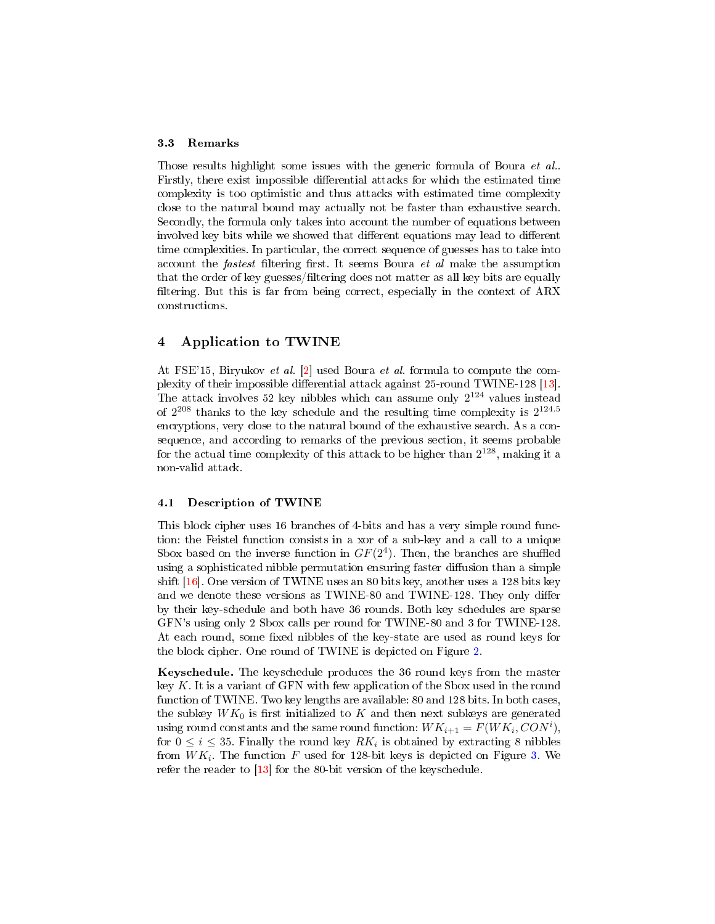#### 3.3 Remarks

Those results highlight some issues with the generic formula of Boura et al.. Firstly, there exist impossible differential attacks for which the estimated time complexity is too optimistic and thus attacks with estimated time complexity close to the natural bound may actually not be faster than exhaustive search. Secondly, the formula only takes into account the number of equations between involved key bits while we showed that different equations may lead to different time complexities. In particular, the correct sequence of guesses has to take into account the *fastest* filtering first. It seems Boura et al make the assumption that the order of key guesses/filtering does not matter as all key bits are equally filtering. But this is far from being correct, especially in the context of ARX constructions.

## <span id="page-6-0"></span>4 Application to TWINE

At FSE'15, Biryukov et al. [\[2\]](#page-10-1) used Boura et al. formula to compute the com-plexity of their impossible differential attack against 25-round TWINE-128 [\[13\]](#page-11-0). The attack involves 52 key nibbles which can assume only  $2^{124}$  values instead of  $2^{208}$  thanks to the key schedule and the resulting time complexity is  $2^{124.5}$ encryptions, very close to the natural bound of the exhaustive search. As a consequence, and according to remarks of the previous section, it seems probable for the actual time complexity of this attack to be higher than  $2^{128}$ , making it a non-valid attack.

### 4.1 Description of TWINE

This block cipher uses 16 branches of 4-bits and has a very simple round function: the Feistel function consists in a xor of a sub-key and a call to a unique Sbox based on the inverse function in  $GF(2<sup>4</sup>)$ . Then, the branches are shuffled using a sophisticated nibble permutation ensuring faster diffusion than a simple shift [\[16\]](#page-11-3). One version of TWINE uses an 80 bits key, another uses a 128 bits key and we denote these versions as TWINE-80 and TWINE-128. They only differ by their key-schedule and both have 36 rounds. Both key schedules are sparse GFN's using only 2 Sbox calls per round for TWINE-80 and 3 for TWINE-128. At each round, some fixed nibbles of the key-state are used as round keys for the block cipher. One round of TWINE is depicted on Figure [2.](#page-7-0)

Keyschedule. The keyschedule produces the 36 round keys from the master key  $K$ . It is a variant of GFN with few application of the Sbox used in the round function of TWINE. Two key lengths are available: 80 and 128 bits. In both cases, the subkey  $WK_0$  is first initialized to K and then next subkeys are generated using round constants and the same round function:  $WK_{i+1} = F(WK_i, CON^i)$ , for  $0 \leq i \leq 35$ . Finally the round key  $RK_i$  is obtained by extracting 8 nibbles from  $WK_i$ . The function  $F$  used for 128-bit keys is depicted on Figure [3.](#page-7-1) We refer the reader to [\[13\]](#page-11-0) for the 80-bit version of the keyschedule.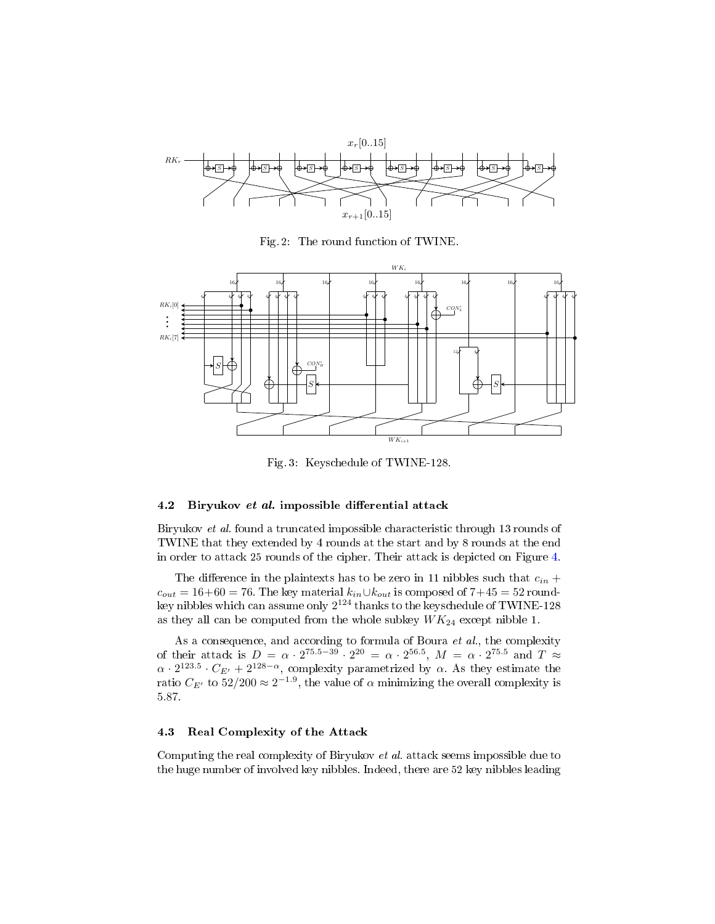<span id="page-7-0"></span>

Fig. 2: The round function of TWINE.

<span id="page-7-1"></span>

Fig. 3: Keyschedule of TWINE-128.

### 4.2 Biryukov et al. impossible differential attack

Biryukov et al. found a truncated impossible characteristic through 13 rounds of TWINE that they extended by 4 rounds at the start and by 8 rounds at the end in order to attack 25 rounds of the cipher. Their attack is depicted on Figure [4.](#page-8-0)

The difference in the plaintexts has to be zero in 11 nibbles such that  $c_{in}$  +  $c_{out} = 16+60 = 76$ . The key material  $k_{in} \cup k_{out}$  is composed of  $7+45 = 52$  roundkey nibbles which can assume only  $2^{124}$  thanks to the keyschedule of TWINE-128 as they all can be computed from the whole subkey  $WK_{24}$  except nibble 1.

As a consequence, and according to formula of Boura et al., the complexity of their attack is  $D = \alpha \cdot 2^{75.5 - 39} \cdot 2^{20} = \alpha \cdot 2^{56.5}$ ,  $M = \alpha \cdot 2^{75.5}$  and  $T \approx$  $\alpha \cdot 2^{123.5} \cdot C_{E'} + 2^{128-\alpha}$ , complexity parametrized by  $\alpha$ . As they estimate the ratio  $C_{E'}$  to  $52/200 \approx 2^{-1.9}$ , the value of  $\alpha$  minimizing the overall complexity is 5.87.

### 4.3 Real Complexity of the Attack

Computing the real complexity of Biryukov et al. attack seems impossible due to the huge number of involved key nibbles. Indeed, there are 52 key nibbles leading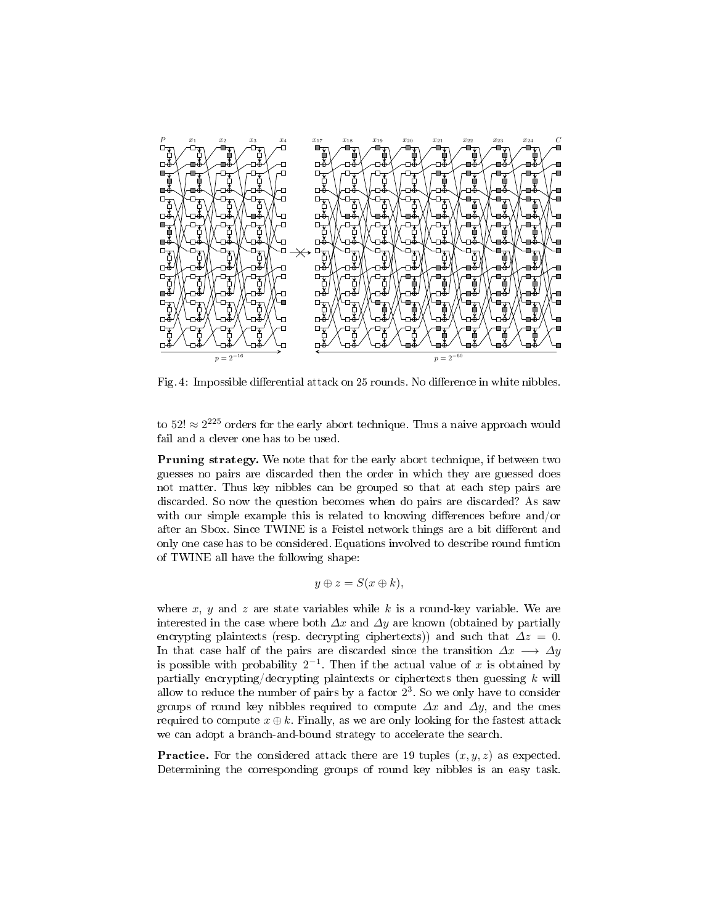<span id="page-8-0"></span>

Fig. 4: Impossible differential attack on 25 rounds. No difference in white nibbles.

to 52!  $\approx 2^{225}$  orders for the early abort technique. Thus a naive approach would fail and a clever one has to be used.

Pruning strategy. We note that for the early abort technique, if between two guesses no pairs are discarded then the order in which they are guessed does not matter. Thus key nibbles can be grouped so that at each step pairs are discarded. So now the question becomes when do pairs are discarded? As saw with our simple example this is related to knowing differences before and/or after an Sbox. Since TWINE is a Feistel network things are a bit different and only one case has to be considered. Equations involved to describe round funtion of TWINE all have the following shape:

$$
y \oplus z = S(x \oplus k),
$$

where x, y and z are state variables while k is a round-key variable. We are interested in the case where both  $\Delta x$  and  $\Delta y$  are known (obtained by partially encrypting plaintexts (resp. decrypting ciphertexts)) and such that  $\Delta z = 0$ . In that case half of the pairs are discarded since the transition  $\Delta x \rightarrow \Delta y$ is possible with probability  $2^{-1}$ . Then if the actual value of x is obtained by partially encrypting/decrypting plaintexts or ciphertexts then guessing  $k$  will allow to reduce the number of pairs by a factor  $2^3$ . So we only have to consider groups of round key nibbles required to compute  $\Delta x$  and  $\Delta y$ , and the ones required to compute  $x \oplus k$ . Finally, as we are only looking for the fastest attack we can adopt a branch-and-bound strategy to accelerate the search.

**Practice.** For the considered attack there are 19 tuples  $(x, y, z)$  as expected. Determining the corresponding groups of round key nibbles is an easy task.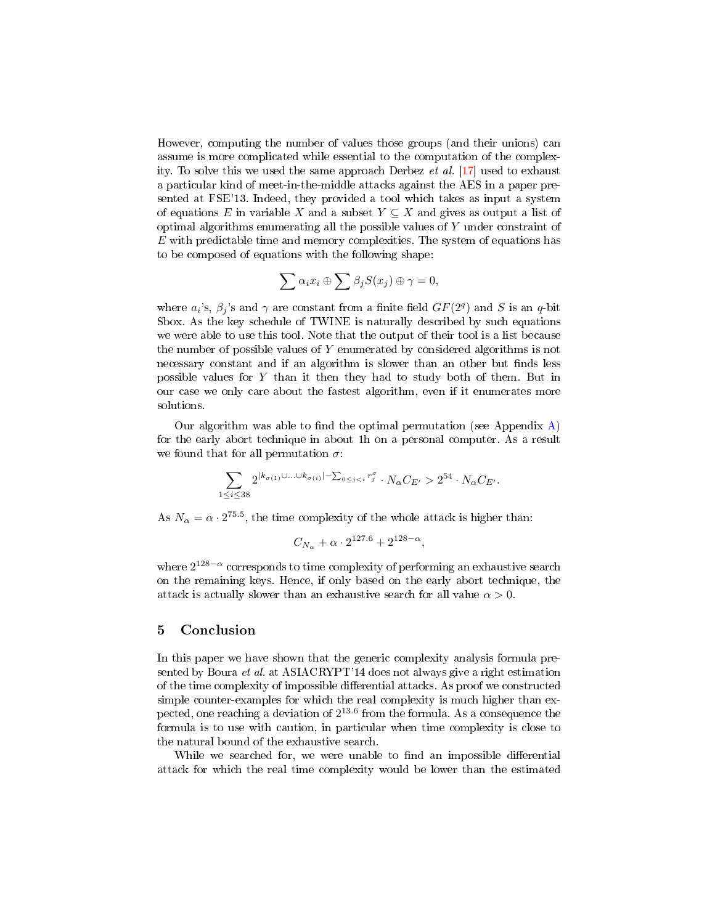However, computing the number of values those groups (and their unions) can assume is more complicated while essential to the computation of the complexity. To solve this we used the same approach Derbez et al. [\[17\]](#page-11-4) used to exhaust a particular kind of meet-in-the-middle attacks against the AES in a paper presented at FSE'13. Indeed, they provided a tool which takes as input a system of equations E in variable X and a subset  $Y \subseteq X$  and gives as output a list of optimal algorithms enumerating all the possible values of  $Y$  under constraint of  $E$  with predictable time and memory complexities. The system of equations has to be composed of equations with the following shape:

$$
\sum \alpha_i x_i \oplus \sum \beta_j S(x_j) \oplus \gamma = 0,
$$

where  $a_i$ 's,  $\beta_j$ 's and  $\gamma$  are constant from a finite field  $GF(2^q)$  and S is an q-bit Sbox. As the key schedule of TWINE is naturally described by such equations we were able to use this tool. Note that the output of their tool is a list because the number of possible values of Y enumerated by considered algorithms is not necessary constant and if an algorithm is slower than an other but finds less possible values for Y than it then they had to study both of them. But in our case we only care about the fastest algorithm, even if it enumerates more solutions.

Our algorithm was able to find the optimal permutation (see Appendix  $\bf{A}$ ) for the early abort technique in about 1h on a personal computer. As a result we found that for all permutation  $\sigma$ :

$$
\sum_{1 \leq i \leq 38} 2^{|k_{\sigma(1)} \cup \ldots \cup k_{\sigma(i)}| - \sum_{0 \leq j < i} r_j^{\sigma}} \cdot N_{\alpha} C_{E'} > 2^{54} \cdot N_{\alpha} C_{E'}.
$$

As  $N_{\alpha} = \alpha \cdot 2^{75.5}$ , the time complexity of the whole attack is higher than:

$$
C_{N_{\alpha}} + \alpha \cdot 2^{127.6} + 2^{128 - \alpha},
$$

where  $2^{128-\alpha}$  corresponds to time complexity of performing an exhaustive search on the remaining keys. Hence, if only based on the early abort technique, the attack is actually slower than an exhaustive search for all value  $\alpha > 0$ .

# 5 Conclusion

In this paper we have shown that the generic complexity analysis formula presented by Boura et al. at ASIACRYPT'14 does not always give a right estimation of the time complexity of impossible differential attacks. As proof we constructed simple counter-examples for which the real complexity is much higher than expected, one reaching a deviation of  $2^{13.6}$  from the formula. As a consequence the formula is to use with caution, in particular when time complexity is close to the natural bound of the exhaustive search.

While we searched for, we were unable to find an impossible differential attack for which the real time complexity would be lower than the estimated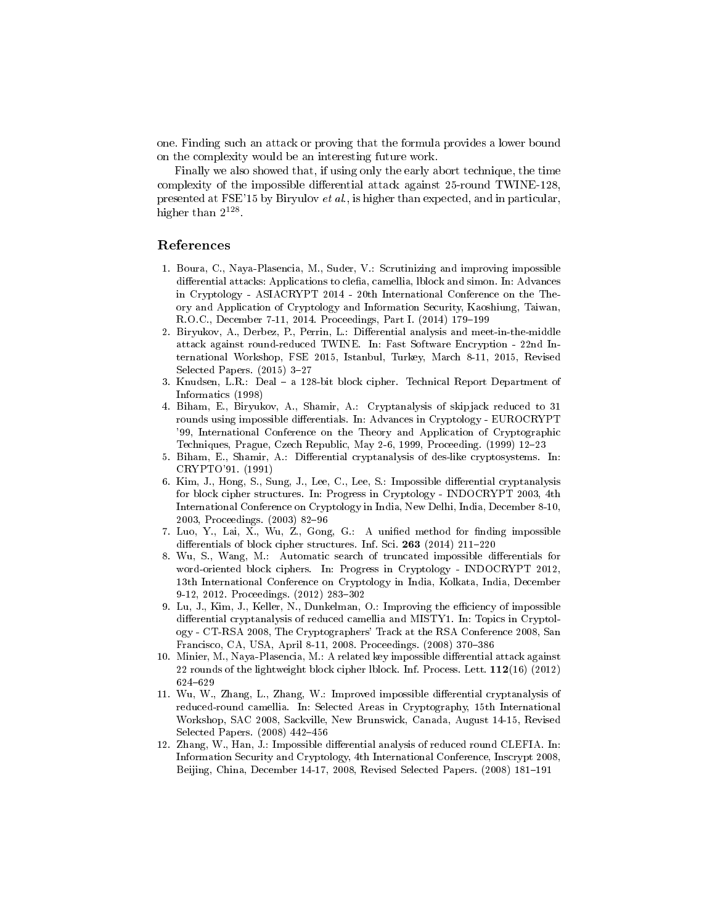one. Finding such an attack or proving that the formula provides a lower bound on the complexity would be an interesting future work.

Finally we also showed that, if using only the early abort technique, the time complexity of the impossible differential attack against  $25$ -round TWINE-128, presented at FSE'15 by Biryulov et al., is higher than expected, and in particular, higher than  $2^{128}$ .

### References

- <span id="page-10-0"></span>1. Boura, C., Naya-Plasencia, M., Suder, V.: Scrutinizing and improving impossible differential attacks: Applications to clefia, camellia, lblock and simon. In: Advances in Cryptology - ASIACRYPT 2014 - 20th International Conference on the Theory and Application of Cryptology and Information Security, Kaoshiung, Taiwan, R.O.C., December 7-11, 2014. Proceedings, Part I. (2014) 179-199
- <span id="page-10-1"></span>2. Biryukov, A., Derbez, P., Perrin, L.: Differential analysis and meet-in-the-middle attack against round-reduced TWINE. In: Fast Software Encryption - 22nd International Workshop, FSE 2015, Istanbul, Turkey, March 8-11, 2015, Revised Selected Papers.  $(2015)$  3-27
- <span id="page-10-2"></span>3. Knudsen, L.R.: Deal a 128-bit block cipher. Technical Report Department of Informatics (1998)
- <span id="page-10-3"></span>4. Biham, E., Biryukov, A., Shamir, A.: Cryptanalysis of skipjack reduced to 31 rounds using impossible differentials. In: Advances in Cryptology - EUROCRYPT '99, International Conference on the Theory and Application of Cryptographic Techniques, Prague, Czech Republic, May 2-6, 1999, Proceeding. (1999) 12-23
- <span id="page-10-4"></span>5. Biham, E., Shamir, A.: Differential cryptanalysis of des-like cryptosystems. In: CRYPTO'91. (1991)
- <span id="page-10-5"></span>6. Kim, J., Hong, S., Sung, J., Lee, C., Lee, S.: Impossible differential cryptanalysis for block cipher structures. In: Progress in Cryptology - INDOCRYPT 2003, 4th International Conference on Cryptology in India, New Delhi, India, December 8-10, 2003, Proceedings. (2003) 82-96
- <span id="page-10-6"></span>7. Luo, Y., Lai, X., Wu, Z., Gong, G.: A unified method for finding impossible differentials of block cipher structures. Inf. Sci.  $263$  (2014) 211-220
- <span id="page-10-7"></span>8. Wu, S., Wang, M.: Automatic search of truncated impossible differentials for word-oriented block ciphers. In: Progress in Cryptology - INDOCRYPT 2012, 13th International Conference on Cryptology in India, Kolkata, India, December 9-12, 2012. Proceedings. (2012) 283-302
- <span id="page-10-8"></span>9. Lu, J., Kim, J., Keller, N., Dunkelman, O.: Improving the efficiency of impossible differential cryptanalysis of reduced camellia and MISTY1. In: Topics in Cryptology - CT-RSA 2008, The Cryptographers' Track at the RSA Conference 2008, San Francisco, CA, USA, April 8-11, 2008. Proceedings. (2008) 370-386
- <span id="page-10-9"></span>10. Minier, M., Naya-Plasencia, M.: A related key impossible differential attack against 22 rounds of the lightweight block cipher lblock. Inf. Process. Lett. 112(16) (2012) 624629
- <span id="page-10-10"></span>11. Wu, W., Zhang, L., Zhang, W.: Improved impossible differential cryptanalysis of reduced-round camellia. In: Selected Areas in Cryptography, 15th International Workshop, SAC 2008, Sackville, New Brunswick, Canada, August 14-15, Revised Selected Papers. (2008) 442-456
- <span id="page-10-11"></span>12. Zhang, W., Han, J.: Impossible differential analysis of reduced round CLEFIA. In: Information Security and Cryptology, 4th International Conference, Inscrypt 2008, Beijing, China, December 14-17, 2008, Revised Selected Papers. (2008) 181-191